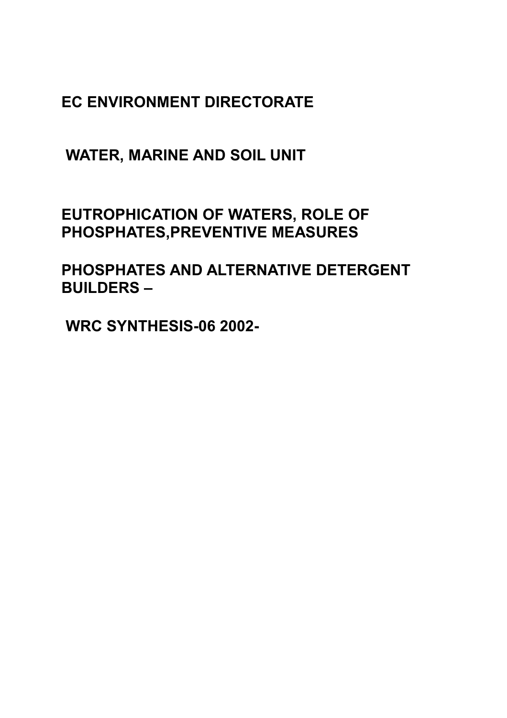**EC ENVIRONMENT DIRECTORATE**

 **WATER, MARINE AND SOIL UNIT**

**EUTROPHICATION OF WATERS, ROLE OF PHOSPHATES,PREVENTIVE MEASURES**

**PHOSPHATES AND ALTERNATIVE DETERGENT BUILDERS –**

 **WRC SYNTHESIS-06 2002-**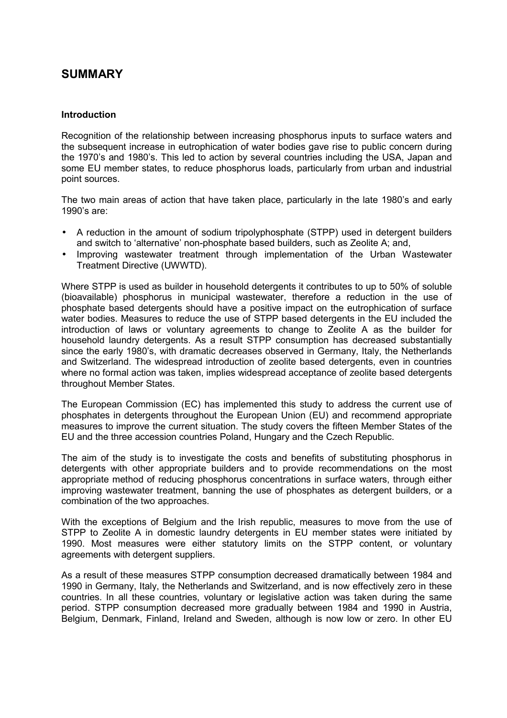# **SUMMARY**

# **Introduction**

Recognition of the relationship between increasing phosphorus inputs to surface waters and the subsequent increase in eutrophication of water bodies gave rise to public concern during the 1970's and 1980's. This led to action by several countries including the USA, Japan and some EU member states, to reduce phosphorus loads, particularly from urban and industrial point sources.

The two main areas of action that have taken place, particularly in the late 1980's and early 1990's are:

- A reduction in the amount of sodium tripolyphosphate (STPP) used in detergent builders and switch to 'alternative' non-phosphate based builders, such as Zeolite A; and,
- Improving wastewater treatment through implementation of the Urban Wastewater Treatment Directive (UWWTD).

Where STPP is used as builder in household detergents it contributes to up to 50% of soluble (bioavailable) phosphorus in municipal wastewater, therefore a reduction in the use of phosphate based detergents should have a positive impact on the eutrophication of surface water bodies. Measures to reduce the use of STPP based detergents in the EU included the introduction of laws or voluntary agreements to change to Zeolite A as the builder for household laundry detergents. As a result STPP consumption has decreased substantially since the early 1980's, with dramatic decreases observed in Germany, Italy, the Netherlands and Switzerland. The widespread introduction of zeolite based detergents, even in countries where no formal action was taken, implies widespread acceptance of zeolite based detergents throughout Member States.

The European Commission (EC) has implemented this study to address the current use of phosphates in detergents throughout the European Union (EU) and recommend appropriate measures to improve the current situation. The study covers the fifteen Member States of the EU and the three accession countries Poland, Hungary and the Czech Republic.

The aim of the study is to investigate the costs and benefits of substituting phosphorus in detergents with other appropriate builders and to provide recommendations on the most appropriate method of reducing phosphorus concentrations in surface waters, through either improving wastewater treatment, banning the use of phosphates as detergent builders, or a combination of the two approaches.

With the exceptions of Belgium and the Irish republic, measures to move from the use of STPP to Zeolite A in domestic laundry detergents in EU member states were initiated by 1990. Most measures were either statutory limits on the STPP content, or voluntary agreements with detergent suppliers.

As a result of these measures STPP consumption decreased dramatically between 1984 and 1990 in Germany, Italy, the Netherlands and Switzerland, and is now effectively zero in these countries. In all these countries, voluntary or legislative action was taken during the same period. STPP consumption decreased more gradually between 1984 and 1990 in Austria, Belgium, Denmark, Finland, Ireland and Sweden, although is now low or zero. In other EU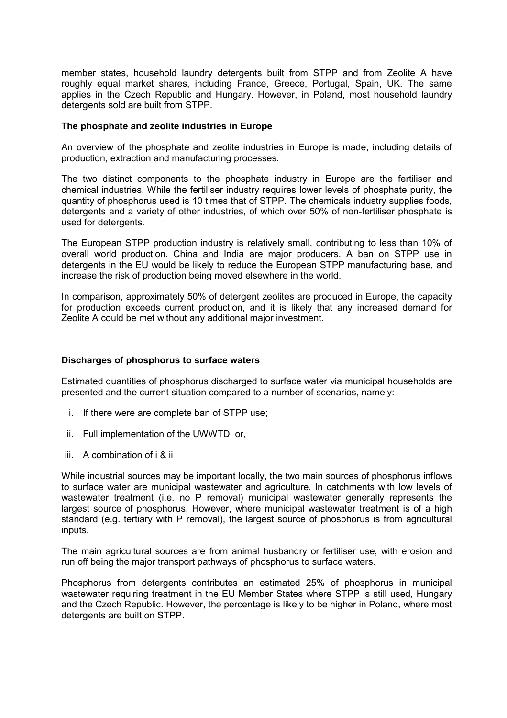member states, household laundry detergents built from STPP and from Zeolite A have roughly equal market shares, including France, Greece, Portugal, Spain, UK. The same applies in the Czech Republic and Hungary. However, in Poland, most household laundry detergents sold are built from STPP.

#### **The phosphate and zeolite industries in Europe**

An overview of the phosphate and zeolite industries in Europe is made, including details of production, extraction and manufacturing processes.

The two distinct components to the phosphate industry in Europe are the fertiliser and chemical industries. While the fertiliser industry requires lower levels of phosphate purity, the quantity of phosphorus used is 10 times that of STPP. The chemicals industry supplies foods, detergents and a variety of other industries, of which over 50% of non-fertiliser phosphate is used for detergents.

The European STPP production industry is relatively small, contributing to less than 10% of overall world production. China and India are major producers. A ban on STPP use in detergents in the EU would be likely to reduce the European STPP manufacturing base, and increase the risk of production being moved elsewhere in the world.

In comparison, approximately 50% of detergent zeolites are produced in Europe, the capacity for production exceeds current production, and it is likely that any increased demand for Zeolite A could be met without any additional major investment.

#### **Discharges of phosphorus to surface waters**

Estimated quantities of phosphorus discharged to surface water via municipal households are presented and the current situation compared to a number of scenarios, namely:

- i. If there were are complete ban of STPP use;
- ii. Full implementation of the UWWTD; or,
- iii. A combination of i & ii

While industrial sources may be important locally, the two main sources of phosphorus inflows to surface water are municipal wastewater and agriculture. In catchments with low levels of wastewater treatment (i.e. no P removal) municipal wastewater generally represents the largest source of phosphorus. However, where municipal wastewater treatment is of a high standard (e.g. tertiary with P removal), the largest source of phosphorus is from agricultural inputs.

The main agricultural sources are from animal husbandry or fertiliser use, with erosion and run off being the major transport pathways of phosphorus to surface waters.

Phosphorus from detergents contributes an estimated 25% of phosphorus in municipal wastewater requiring treatment in the EU Member States where STPP is still used, Hungary and the Czech Republic. However, the percentage is likely to be higher in Poland, where most detergents are built on STPP.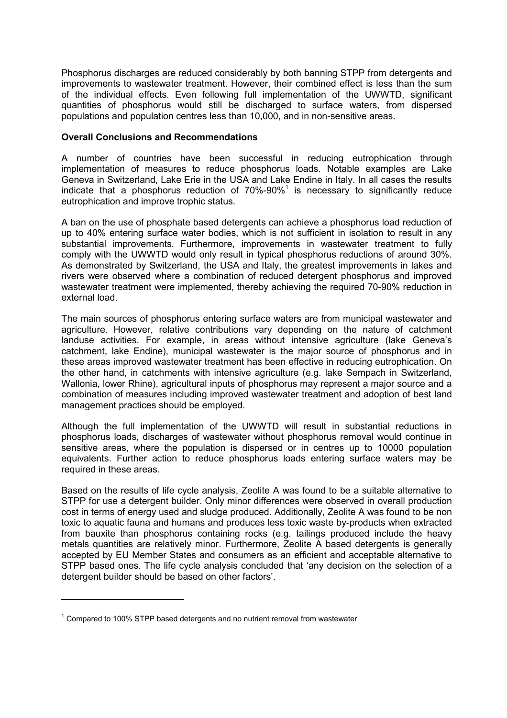Phosphorus discharges are reduced considerably by both banning STPP from detergents and improvements to wastewater treatment. However, their combined effect is less than the sum of the individual effects. Even following full implementation of the UWWTD, significant quantities of phosphorus would still be discharged to surface waters, from dispersed populations and population centres less than 10,000, and in non-sensitive areas.

### **Overall Conclusions and Recommendations**

A number of countries have been successful in reducing eutrophication through implementation of measures to reduce phosphorus loads. Notable examples are Lake Geneva in Switzerland, Lake Erie in the USA and Lake Endine in Italy. In all cases the results indicate that a phosphorus reduction of 70%-90%<sup>1</sup> is necessary to significantly reduce eutrophication and improve trophic status.

A ban on the use of phosphate based detergents can achieve a phosphorus load reduction of up to 40% entering surface water bodies, which is not sufficient in isolation to result in any substantial improvements. Furthermore, improvements in wastewater treatment to fully comply with the UWWTD would only result in typical phosphorus reductions of around 30%. As demonstrated by Switzerland, the USA and Italy, the greatest improvements in lakes and rivers were observed where a combination of reduced detergent phosphorus and improved wastewater treatment were implemented, thereby achieving the required 70-90% reduction in external load.

The main sources of phosphorus entering surface waters are from municipal wastewater and agriculture. However, relative contributions vary depending on the nature of catchment landuse activities. For example, in areas without intensive agriculture (lake Geneva's catchment, lake Endine), municipal wastewater is the major source of phosphorus and in these areas improved wastewater treatment has been effective in reducing eutrophication. On the other hand, in catchments with intensive agriculture (e.g. lake Sempach in Switzerland, Wallonia, lower Rhine), agricultural inputs of phosphorus may represent a major source and a combination of measures including improved wastewater treatment and adoption of best land management practices should be employed.

Although the full implementation of the UWWTD will result in substantial reductions in phosphorus loads, discharges of wastewater without phosphorus removal would continue in sensitive areas, where the population is dispersed or in centres up to 10000 population equivalents. Further action to reduce phosphorus loads entering surface waters may be required in these areas.

Based on the results of life cycle analysis, Zeolite A was found to be a suitable alternative to STPP for use a detergent builder. Only minor differences were observed in overall production cost in terms of energy used and sludge produced. Additionally, Zeolite A was found to be non toxic to aquatic fauna and humans and produces less toxic waste by-products when extracted from bauxite than phosphorus containing rocks (e.g. tailings produced include the heavy metals quantities are relatively minor. Furthermore, Zeolite A based detergents is generally accepted by EU Member States and consumers as an efficient and acceptable alternative to STPP based ones. The life cycle analysis concluded that 'any decision on the selection of a detergent builder should be based on other factors'.

 $\overline{a}$ 

 $1$  Compared to 100% STPP based detergents and no nutrient removal from wastewater